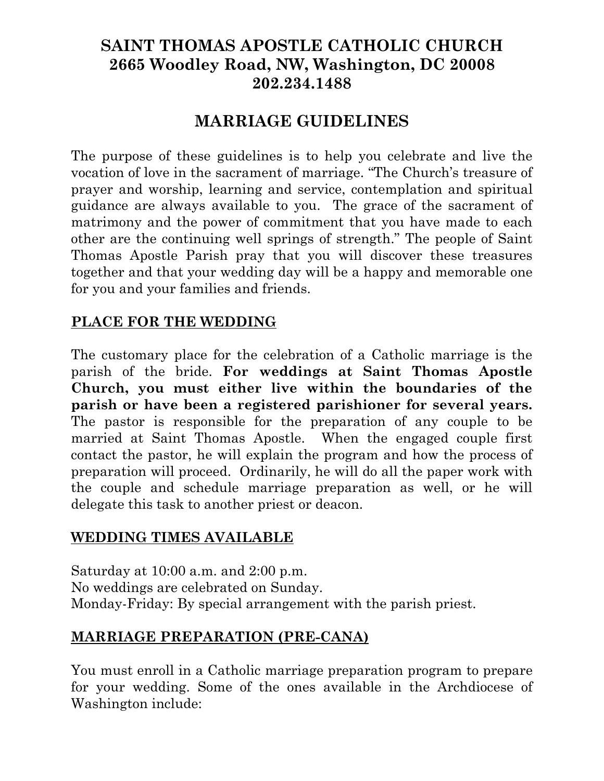# **SAINT THOMAS APOSTLE CATHOLIC CHURCH 2665 Woodley Road, NW, Washington, DC 20008 202.234.1488**

# **MARRIAGE GUIDELINES**

The purpose of these guidelines is to help you celebrate and live the vocation of love in the sacrament of marriage. "The Church's treasure of prayer and worship, learning and service, contemplation and spiritual guidance are always available to you. The grace of the sacrament of matrimony and the power of commitment that you have made to each other are the continuing well springs of strength." The people of Saint Thomas Apostle Parish pray that you will discover these treasures together and that your wedding day will be a happy and memorable one for you and your families and friends.

### **PLACE FOR THE WEDDING**

The customary place for the celebration of a Catholic marriage is the parish of the bride. **For weddings at Saint Thomas Apostle Church, you must either live within the boundaries of the parish or have been a registered parishioner for several years.**  The pastor is responsible for the preparation of any couple to be married at Saint Thomas Apostle. When the engaged couple first contact the pastor, he will explain the program and how the process of preparation will proceed. Ordinarily, he will do all the paper work with the couple and schedule marriage preparation as well, or he will delegate this task to another priest or deacon.

### **WEDDING TIMES AVAILABLE**

Saturday at 10:00 a.m. and 2:00 p.m. No weddings are celebrated on Sunday. Monday-Friday: By special arrangement with the parish priest.

### **MARRIAGE PREPARATION (PRE-CANA)**

You must enroll in a Catholic marriage preparation program to prepare for your wedding. Some of the ones available in the Archdiocese of Washington include: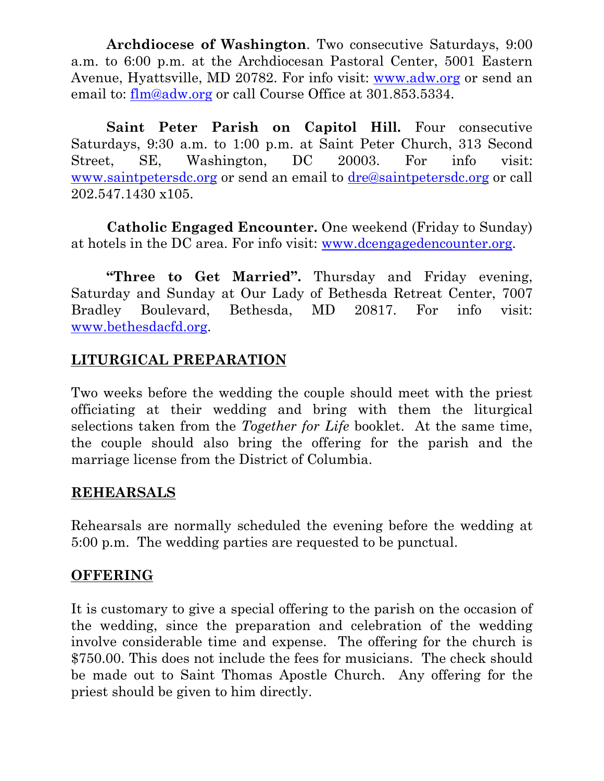**Archdiocese of Washington**. Two consecutive Saturdays, 9:00 a.m. to 6:00 p.m. at the Archdiocesan Pastoral Center, 5001 Eastern Avenue, Hyattsville, MD 20782. For info visit: [www.adw.org](http://www.adw.org/) or send an email to: [flm@adw.org](mailto:flm@adw.org) or call Course Office at 301.853.5334.

Saint Peter Parish on Capitol Hill. Four consecutive Saturdays, 9:30 a.m. to 1:00 p.m. at Saint Peter Church, 313 Second Street, SE, Washington, DC 20003. For info visit: [www.saintpetersdc.org](http://www.saintpetersdc.org/) or send an email to [dre@saintpetersdc.org](mailto:dre@saintpetersdc.org) or call 202.547.1430 x105.

**Catholic Engaged Encounter.** One weekend (Friday to Sunday) at hotels in the DC area. For info visit: [www.dcengagedencounter.org](http://www.dcengagedencounter.org/).

**"Three to Get Married".** Thursday and Friday evening, Saturday and Sunday at Our Lady of Bethesda Retreat Center, 7007 Bradley Boulevard, Bethesda, MD 20817. For info visit: [www.bethesdacfd.org](http://www.bethesdacfd.org/).

### **LITURGICAL PREPARATION**

Two weeks before the wedding the couple should meet with the priest officiating at their wedding and bring with them the liturgical selections taken from the *Together for Life* booklet. At the same time, the couple should also bring the offering for the parish and the marriage license from the District of Columbia.

### **REHEARSALS**

Rehearsals are normally scheduled the evening before the wedding at 5:00 p.m. The wedding parties are requested to be punctual.

### **OFFERING**

It is customary to give a special offering to the parish on the occasion of the wedding, since the preparation and celebration of the wedding involve considerable time and expense. The offering for the church is \$750.00. This does not include the fees for musicians. The check should be made out to Saint Thomas Apostle Church. Any offering for the priest should be given to him directly.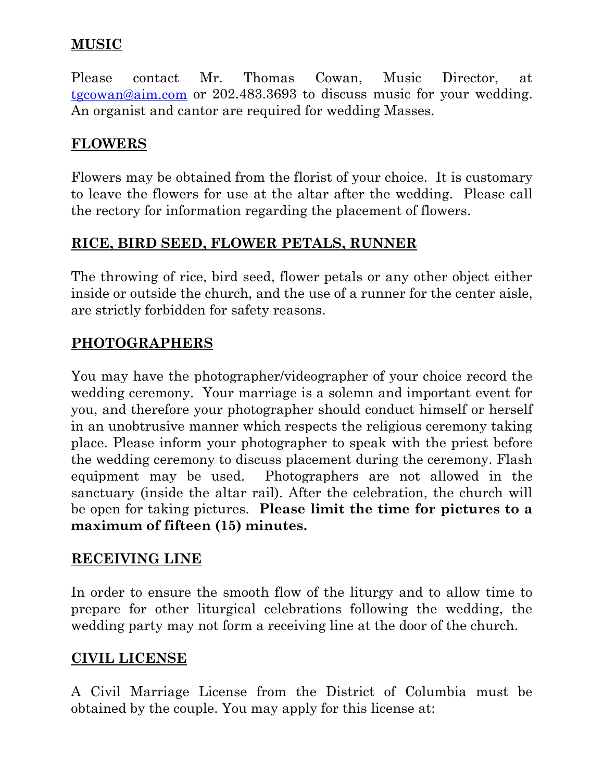## **MUSIC**

Please contact Mr. Thomas Cowan, Music Director, at [tgcowan@aim.com](mailto:tgcowan@aim.com) or 202.483.3693 to discuss music for your wedding. An organist and cantor are required for wedding Masses.

## **FLOWERS**

Flowers may be obtained from the florist of your choice. It is customary to leave the flowers for use at the altar after the wedding. Please call the rectory for information regarding the placement of flowers.

### **RICE, BIRD SEED, FLOWER PETALS, RUNNER**

The throwing of rice, bird seed, flower petals or any other object either inside or outside the church, and the use of a runner for the center aisle, are strictly forbidden for safety reasons.

### **PHOTOGRAPHERS**

You may have the photographer/videographer of your choice record the wedding ceremony. Your marriage is a solemn and important event for you, and therefore your photographer should conduct himself or herself in an unobtrusive manner which respects the religious ceremony taking place. Please inform your photographer to speak with the priest before the wedding ceremony to discuss placement during the ceremony. Flash equipment may be used. Photographers are not allowed in the sanctuary (inside the altar rail). After the celebration, the church will be open for taking pictures. **Please limit the time for pictures to a maximum of fifteen (15) minutes.** 

### **RECEIVING LINE**

In order to ensure the smooth flow of the liturgy and to allow time to prepare for other liturgical celebrations following the wedding, the wedding party may not form a receiving line at the door of the church.

### **CIVIL LICENSE**

A Civil Marriage License from the District of Columbia must be obtained by the couple. You may apply for this license at: